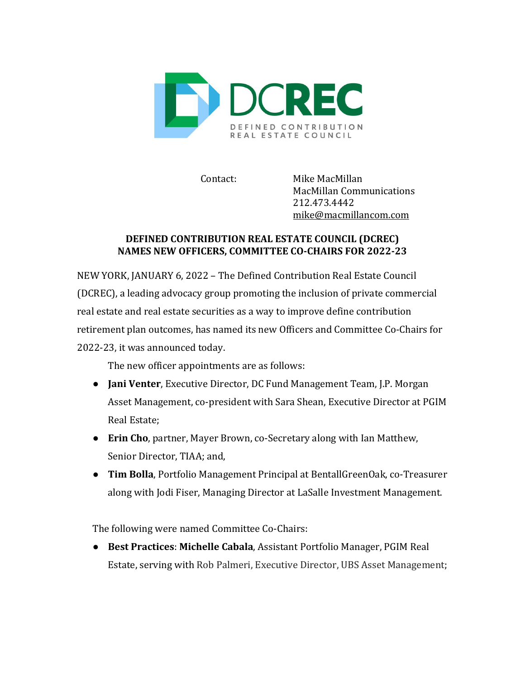

Contact: Mike MacMillan MacMillan Communications 212.473.4442 mike@macmillancom.com

## **DEFINED CONTRIBUTION REAL ESTATE COUNCIL (DCREC)** NAMES NEW OFFICERS, COMMITTEE CO-CHAIRS FOR 2022-23

NEW YORK, JANUARY 6, 2022 - The Defined Contribution Real Estate Council (DCREC), a leading advocacy group promoting the inclusion of private commercial real estate and real estate securities as a way to improve define contribution retirement plan outcomes, has named its new Officers and Committee Co-Chairs for 2022-23, it was announced today.

The new officer appointments are as follows:

- **Jani Venter**, Executive Director, DC Fund Management Team, J.P. Morgan Asset Management, co-president with Sara Shean, Executive Director at PGIM Real Estate;
- Erin Cho, partner, Mayer Brown, co-Secretary along with Ian Matthew, Senior Director, TIAA; and,
- **Tim Bolla**, Portfolio Management Principal at BentallGreenOak, co-Treasurer along with Jodi Fiser, Managing Director at LaSalle Investment Management.

The following were named Committee Co-Chairs:

**• Best Practices: Michelle Cabala, Assistant Portfolio Manager, PGIM Real** Estate, serving with Rob Palmeri, Executive Director, UBS Asset Management;